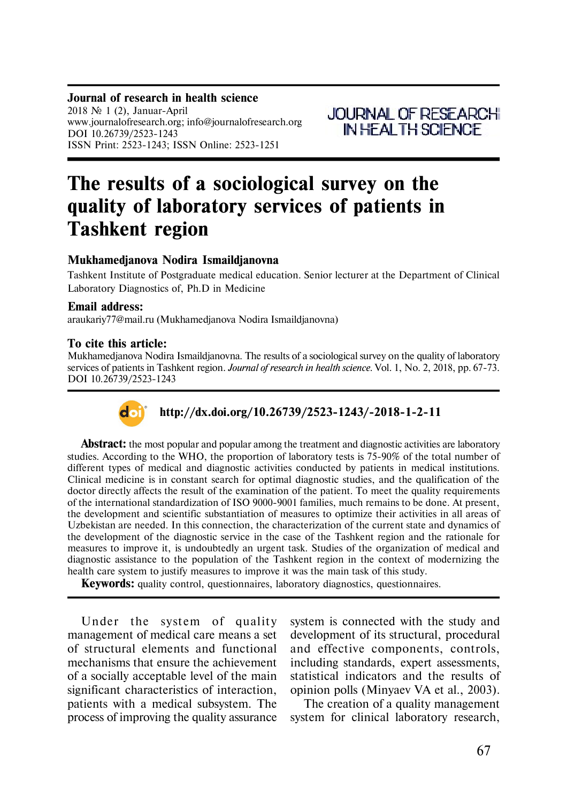#### **Journal of research in health science** 2018  $\mathcal{N}$  1 (2), Januar-April www.journalofresearch.org; info@journalofresearch.org DOI 10.26739/2523-1243 ISSN Print: 2523-1243; ISSN Online: 2523-1251

**JOURNAL OF RESEARCH IN HEALTH SCIENCE** 

# **The results of a sociological survey on the quality of laboratory services of patients in Tashkent region**

# **Mukhamedjanova Nodira Ismaildjanovna**

Tashkent Institute of Postgraduate medical education. Senior lecturer at the Department of Clinical Laboratory Diagnostics of, Ph.D in Medicine

## **Email address:**

araukariy77@mail.ru (Mukhamedjanova Nodira Ismaildjanovna)

### **To cite this article:**

Mukhamedjanova Nodira Ismaildjanovna. The results of a sociological survey on the quality of laboratory services of patients in Tashkent region. *Journal of research in health science.* Vol. 1, No. 2, 2018, pp. 67-73. DOI 10.26739/2523-1243



# **http://dx.doi.org/10.26739/2523-1243/-2018-1-2-11**

**Abstract:** the most popular and popular among the treatment and diagnostic activities are laboratory studies. According to the WHO, the proportion of laboratory tests is 75-90% of the total number of different types of medical and diagnostic activities conducted by patients in medical institutions. Clinical medicine is in constant search for optimal diagnostic studies, and the qualification of the doctor directly affects the result of the examination of the patient. To meet the quality requirements of the international standardization of ISO 9000-9001 families, much remains to be done. At present, the development and scientific substantiation of measures to optimize their activities in all areas of Uzbekistan are needed. In this connection, the characterization of the current state and dynamics of the development of the diagnostic service in the case of the Tashkent region and the rationale for measures to improve it, is undoubtedly an urgent task. Studies of the organization of medical and diagnostic assistance to the population of the Tashkent region in the context of modernizing the health care system to justify measures to improve it was the main task of this study.

**Keywords:** quality control, questionnaires, laboratory diagnostics, questionnaires.

Under the system of quality management of medical care means a set of structural elements and functional mechanisms that ensure the achievement of a socially acceptable level of the main significant characteristics of interaction, patients with a medical subsystem. The process of improving the quality assurance system is connected with the study and development of its structural, procedural and effective components, controls, including standards, expert assessments, statistical indicators and the results of opinion polls (Minyaev VA et al., 2003).

The creation of a quality management system for clinical laboratory research,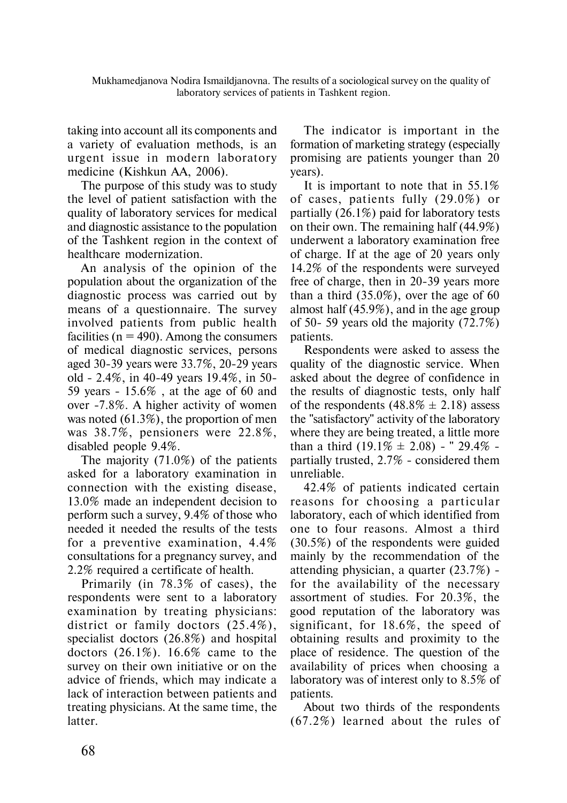Mukhamedjanova Nodira Ismaildjanovna. The results of a sociological survey on the quality of laboratory services of patients in Tashkent region.

taking into account all its components and a variety of evaluation methods, is an urgent issue in modern laboratory medicine (Kishkun AA, 2006).

The purpose of this study was to study the level of patient satisfaction with the quality of laboratory services for medical and diagnostic assistance to the population of the Tashkent region in the context of healthcare modernization.

An analysis of the opinion of the population about the organization of the diagnostic process was carried out by means of a questionnaire. The survey involved patients from public health facilities ( $n = 490$ ). Among the consumers of medical diagnostic services, persons aged 30-39 years were 33.7%, 20-29 years old - 2.4%, in 40-49 years 19.4%, in 50- 59 years - 15.6% , at the age of 60 and over -7.8%. A higher activity of women was noted (61.3%), the proportion of men was 38.7%, pensioners were 22.8%, disabled people 9.4%.

The majority (71.0%) of the patients asked for a laboratory examination in connection with the existing disease, 13.0% made an independent decision to perform such a survey, 9.4% of those who needed it needed the results of the tests for a preventive examination, 4.4% consultations for a pregnancy survey, and 2.2% required a certificate of health.

Primarily (in 78.3% of cases), the respondents were sent to a laboratory examination by treating physicians: district or family doctors (25.4%), specialist doctors (26.8%) and hospital doctors (26.1%). 16.6% came to the survey on their own initiative or on the advice of friends, which may indicate a lack of interaction between patients and treating physicians. At the same time, the latter.

The indicator is important in the formation of marketing strategy (especially promising are patients younger than 20 years).

It is important to note that in 55.1% of cases, patients fully (29.0%) or partially (26.1%) paid for laboratory tests on their own. The remaining half (44.9%) underwent a laboratory examination free of charge. If at the age of 20 years only 14.2% of the respondents were surveyed free of charge, then in 20-39 years more than a third  $(35.0\%)$ , over the age of 60 almost half (45.9%), and in the age group of 50- 59 years old the majority (72.7%) patients.

Respondents were asked to assess the quality of the diagnostic service. When asked about the degree of confidence in the results of diagnostic tests, only half of the respondents  $(48.8\% \pm 2.18)$  assess the "satisfactory" activity of the laboratory where they are being treated, a little more than a third  $(19.1\% \pm 2.08)$  - " 29.4\% partially trusted, 2.7% - considered them unreliable.

42.4% of patients indicated certain reasons for choosing a particular laboratory, each of which identified from one to four reasons. Almost a third (30.5%) of the respondents were guided mainly by the recommendation of the attending physician, a quarter (23.7%) for the availability of the necessary assortment of studies. For 20.3%, the good reputation of the laboratory was significant, for 18.6%, the speed of obtaining results and proximity to the place of residence. The question of the availability of prices when choosing a laboratory was of interest only to 8.5% of patients.

About two thirds of the respondents (67.2%) learned about the rules of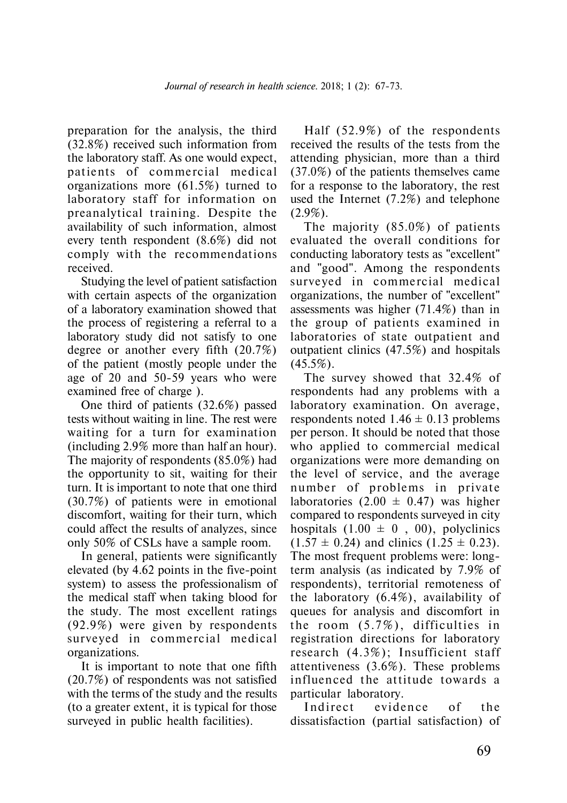preparation for the analysis, the third (32.8%) received such information from the laboratory staff. As one would expect, patients of commercial medical organizations more (61.5%) turned to laboratory staff for information on preanalytical training. Despite the availability of such information, almost every tenth respondent (8.6%) did not comply with the recommendations received.

Studying the level of patient satisfaction with certain aspects of the organization of a laboratory examination showed that the process of registering a referral to a laboratory study did not satisfy to one degree or another every fifth (20.7%) of the patient (mostly people under the age of 20 and 50-59 years who were examined free of charge ).

One third of patients (32.6%) passed tests without waiting in line. The rest were waiting for a turn for examination (including 2.9% more than half an hour). The majority of respondents (85.0%) had the opportunity to sit, waiting for their turn. It is important to note that one third (30.7%) of patients were in emotional discomfort, waiting for their turn, which could affect the results of analyzes, since only 50% of CSLs have a sample room.

In general, patients were significantly elevated (by 4.62 points in the five-point system) to assess the professionalism of the medical staff when taking blood for the study. The most excellent ratings (92.9%) were given by respondents surveyed in commercial medical organizations.

It is important to note that one fifth (20.7%) of respondents was not satisfied with the terms of the study and the results (to a greater extent, it is typical for those surveyed in public health facilities).

Half (52.9%) of the respondents received the results of the tests from the attending physician, more than a third (37.0%) of the patients themselves came for a response to the laboratory, the rest used the Internet (7.2%) and telephone  $(2.9\%).$ 

The majority (85.0%) of patients evaluated the overall conditions for conducting laboratory tests as "excellent" and "good". Among the respondents surveyed in commercial medical organizations, the number of "excellent" assessments was higher (71.4%) than in the group of patients examined in laboratories of state outpatient and outpatient clinics (47.5%) and hospitals  $(45.5\%)$ .

The survey showed that 32.4% of respondents had any problems with a laboratory examination. On average, respondents noted  $1.46 \pm 0.13$  problems per person. It should be noted that those who applied to commercial medical organizations were more demanding on the level of service, and the average number of problems in private laboratories  $(2.00 \pm 0.47)$  was higher compared to respondents surveyed in city hospitals  $(1.00 \pm 0, 00)$ , polyclinics  $(1.57 \pm 0.24)$  and clinics  $(1.25 \pm 0.23)$ . The most frequent problems were: longterm analysis (as indicated by 7.9% of respondents), territorial remoteness of the laboratory (6.4%), availability of queues for analysis and discomfort in the room  $(5.7\%)$ , difficulties in registration directions for laboratory research  $(4.3\%)$ ; Insufficient staff attentiveness (3.6%). These problems influenced the attitude towards a particular laboratory.

Indirect evidence of the dissatisfaction (partial satisfaction) of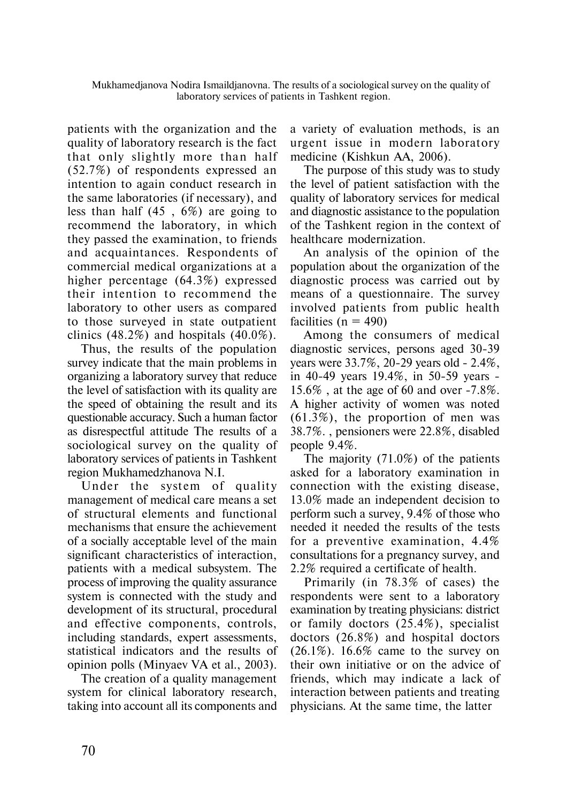patients with the organization and the quality of laboratory research is the fact that only slightly more than half (52.7%) of respondents expressed an intention to again conduct research in the same laboratories (if necessary), and less than half (45 , 6%) are going to recommend the laboratory, in which they passed the examination, to friends and acquaintances. Respondents of commercial medical organizations at a higher percentage (64.3%) expressed their intention to recommend the laboratory to other users as compared to those surveyed in state outpatient clinics  $(48.2\%)$  and hospitals  $(40.0\%)$ .

Thus, the results of the population survey indicate that the main problems in organizing a laboratory survey that reduce the level of satisfaction with its quality are the speed of obtaining the result and its questionable accuracy. Such a human factor as disrespectful attitude The results of a sociological survey on the quality of laboratory services of patients in Tashkent region Mukhamedzhanova N.I.

Under the system of quality management of medical care means a set of structural elements and functional mechanisms that ensure the achievement of a socially acceptable level of the main significant characteristics of interaction, patients with a medical subsystem. The process of improving the quality assurance system is connected with the study and development of its structural, procedural and effective components, controls, including standards, expert assessments, statistical indicators and the results of opinion polls (Minyaev VA et al., 2003).

The creation of a quality management system for clinical laboratory research, taking into account all its components and a variety of evaluation methods, is an urgent issue in modern laboratory medicine (Kishkun AA, 2006).

The purpose of this study was to study the level of patient satisfaction with the quality of laboratory services for medical and diagnostic assistance to the population of the Tashkent region in the context of healthcare modernization.

An analysis of the opinion of the population about the organization of the diagnostic process was carried out by means of a questionnaire. The survey involved patients from public health facilities ( $n = 490$ )

Among the consumers of medical diagnostic services, persons aged 30-39 years were 33.7%, 20-29 years old - 2.4%, in 40-49 years 19.4%, in 50-59 years - 15.6% , at the age of 60 and over -7.8%. A higher activity of women was noted (61.3%), the proportion of men was 38.7%. , pensioners were 22.8%, disabled people 9.4%.

The majority (71.0%) of the patients asked for a laboratory examination in connection with the existing disease, 13.0% made an independent decision to perform such a survey, 9.4% of those who needed it needed the results of the tests for a preventive examination, 4.4% consultations for a pregnancy survey, and 2.2% required a certificate of health.

Primarily (in 78.3% of cases) the respondents were sent to a laboratory examination by treating physicians: district or family doctors (25.4%), specialist doctors (26.8%) and hospital doctors  $(26.1\%)$ . 16.6% came to the survey on their own initiative or on the advice of friends, which may indicate a lack of interaction between patients and treating physicians. At the same time, the latter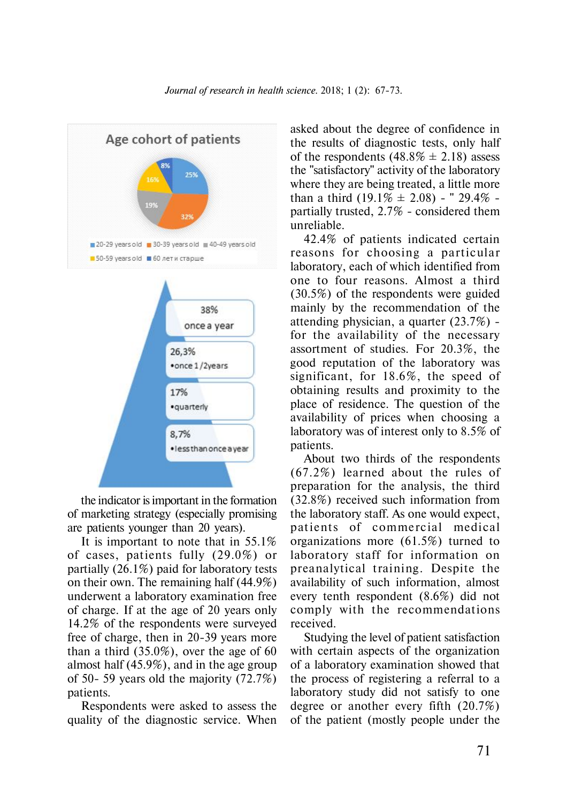

the indicator is important in the formation of marketing strategy (especially promising are patients younger than 20 years).

It is important to note that in 55.1% of cases, patients fully (29.0%) or partially (26.1%) paid for laboratory tests on their own. The remaining half (44.9%) underwent a laboratory examination free of charge. If at the age of 20 years only 14.2% of the respondents were surveyed free of charge, then in 20-39 years more than a third (35.0%), over the age of 60 almost half (45.9%), and in the age group of 50- 59 years old the majority (72.7%) patients.

Respondents were asked to assess the quality of the diagnostic service. When asked about the degree of confidence in the results of diagnostic tests, only half of the respondents  $(48.8\% \pm 2.18)$  assess the "satisfactory" activity of the laboratory where they are being treated, a little more than a third  $(19.1\% \pm 2.08)$  - " 29.4% partially trusted, 2.7% - considered them unreliable.

42.4% of patients indicated certain reasons for choosing a particular laboratory, each of which identified from one to four reasons. Almost a third (30.5%) of the respondents were guided mainly by the recommendation of the attending physician, a quarter (23.7%) for the availability of the necessary assortment of studies. For 20.3%, the good reputation of the laboratory was significant, for 18.6%, the speed of obtaining results and proximity to the place of residence. The question of the availability of prices when choosing a laboratory was of interest only to 8.5% of patients.

About two thirds of the respondents (67.2%) learned about the rules of preparation for the analysis, the third (32.8%) received such information from the laboratory staff. As one would expect, patients of commercial medical organizations more (61.5%) turned to laboratory staff for information on preanalytical training. Despite the availability of such information, almost every tenth respondent (8.6%) did not comply with the recommendations received.

Studying the level of patient satisfaction with certain aspects of the organization of a laboratory examination showed that the process of registering a referral to a laboratory study did not satisfy to one degree or another every fifth (20.7%) of the patient (mostly people under the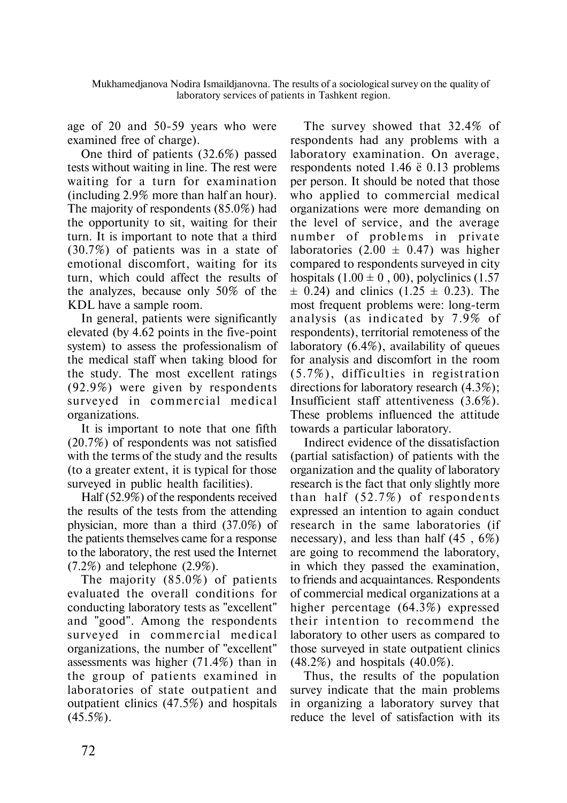Mukhamedjanova Nodira Ismaildjanovna. The results of a sociological survey on the quality of laboratory services of patients in Tashkent region.

age of 20 and 50-59 years who were examined free of charge).

One third of patients (32.6%) passed tests without waiting in line. The rest were waiting for a turn for examination (including 2.9% more than half an hour). The majority of respondents (85.0%) had the opportunity to sit, waiting for their turn. It is important to note that a third (30.7%) of patients was in a state of emotional discomfort, waiting for its turn, which could affect the results of the analyzes, because only 50% of the KDL have a sample room.

In general, patients were significantly elevated (by 4.62 points in the five-point system) to assess the professionalism of the medical staff when taking blood for the study. The most excellent ratings (92.9%) were given by respondents surveyed in commercial medical organizations.

It is important to note that one fifth (20.7%) of respondents was not satisfied with the terms of the study and the results (to a greater extent, it is typical for those surveyed in public health facilities).

Half (52.9%) of the respondents received the results of the tests from the attending physician, more than a third (37.0%) of the patients themselves came for a response to the laboratory, the rest used the Internet  $(7.2\%)$  and telephone  $(2.9\%).$ 

The majority (85.0%) of patients evaluated the overall conditions for conducting laboratory tests as "excellent" and "good". Among the respondents surveyed in commercial medical organizations, the number of "excellent" assessments was higher (71.4%) than in the group of patients examined in laboratories of state outpatient and outpatient clinics (47.5%) and hospitals  $(45.5\%).$ 

The survey showed that 32.4% of respondents had any problems with a laboratory examination. On average, respondents noted 1.46  $\ddot{e}$  0.13 problems per person. It should be noted that those who applied to commercial medical organizations were more demanding on the level of service, and the average number of problems in private laboratories  $(2.00 \pm 0.47)$  was higher compared to respondents surveyed in city hospitals  $(1.00 \pm 0, 00)$ , polyclinics  $(1.57)$  $\pm$  0.24) and clinics (1.25  $\pm$  0.23). The most frequent problems were: long-term analysis (as indicated by 7.9% of respondents), territorial remoteness of the laboratory (6.4%), availability of queues for analysis and discomfort in the room  $(5.7\%)$ , difficulties in registration directions for laboratory research (4.3%); Insufficient staff attentiveness (3.6%). These problems influenced the attitude towards a particular laboratory.

Indirect evidence of the dissatisfaction (partial satisfaction) of patients with the organization and the quality of laboratory research is the fact that only slightly more than half  $(52.7%)$  of respondents expressed an intention to again conduct research in the same laboratories (if necessary), and less than half (45 , 6%) are going to recommend the laboratory, in which they passed the examination, to friends and acquaintances. Respondents of commercial medical organizations at a higher percentage (64.3%) expressed their intention to recommend the laboratory to other users as compared to those surveyed in state outpatient clinics (48.2%) and hospitals (40.0%).

Thus, the results of the population survey indicate that the main problems in organizing a laboratory survey that reduce the level of satisfaction with its